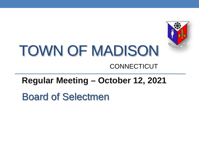

# TOWN OF MADISON **CONNECTICUT**

#### **Regular Meeting – October 12, 2021**

Board of Selectmen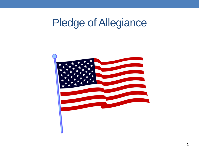# Pledge of Allegiance

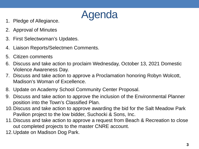

- 
- 2. Approval of Minutes
- 3. First Selectwoman's Updates.
- 4. Liaison Reports/Selectmen Comments.
- 5. Citizen comments
- 6. Discuss and take action to proclaim Wednesday, October 13, 2021 Domestic Violence Awareness Day.
- 7. Discuss and take action to approve a Proclamation honoring Robyn Wolcott, Madison's Woman of Excellence.
- 8. Update on Academy School Community Center Proposal.
- 9. Discuss and take action to approve the inclusion of the Environmental Planner position into the Town's Classified Plan.
- 10.Discuss and take action to approve awarding the bid for the Salt Meadow Park Pavilion project to the low bidder, Suchocki & Sons, Inc.
- 11.Discuss and take action to approve a request from Beach & Recreation to close out completed projects to the master CNRE account.
- 12.Update on Madison Dog Park.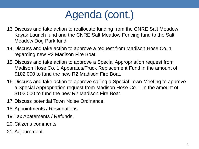## Agenda (cont.)

- 13.Discuss and take action to reallocate funding from the CNRE Salt Meadow Kayak Launch fund and the CNRE Salt Meadow Fencing fund to the Salt Meadow Dog Park fund.
- 14.Discuss and take action to approve a request from Madison Hose Co. 1 regarding new R2 Madison Fire Boat.
- 15.Discuss and take action to approve a Special Appropriation request from Madison Hose Co. 1 Apparatus/Truck Replacement Fund in the amount of \$102,000 to fund the new R2 Madison Fire Boat.
- 16.Discuss and take action to approve calling a Special Town Meeting to approve a Special Appropriation request from Madison Hose Co. 1 in the amount of \$102,000 to fund the new R2 Madison Fire Boat.
- 17.Discuss potential Town Noise Ordinance.
- 18.Appointments / Resignations.
- 19.Tax Abatements / Refunds.
- 20.Citizens comments.
- 21.Adjournment.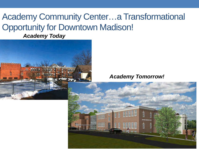#### Academy Community Center…a Transformational Opportunity for Downtown Madison!

*Academy Today*



*Academy Tomorrow!*

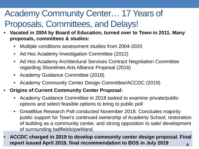#### Academy Community Center… 17 Years of Proposals, Committees, and Delays!

- **Vacated in 2004 by Board of Education, turned over to Town in 2011. Many proposals, committees & studies:**
	- Multiple conditions assessment studies from 2004-2020
	- Ad Hoc Academy Investigation Committee (2012)
	- Ad Hoc Academy Architectural Services Contract Negotiation Committee regarding Shorelines Arts Alliance Proposal (2016)
	- Academy Guidance Committee (2018)
	- Academy Community Center Design Committee/ACCDC (2019)
- **Origins of Current Community Center Proposal:**
	- Academy Guidance Committee in 2018 tasked to examine private/public options and select feasible options to bring to public poll
	- GreatBlue Research Poll conducted November 2018. Concludes majority public support for Town's continued ownership of Academy School, restoration of building as a community center, and strong opposition to sale/ development of surrounding ballfields/parkland.
- **6** • **ACCDC charged in 2019 to develop community center design proposal. Final report issued April 2019, final recommendation to BOS in July 2019**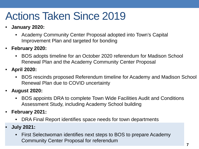## Actions Taken Since 2019

- **January 2020:** 
	- Academy Community Center Proposal adopted into Town's Capital Improvement Plan and targeted for bonding
- **February 2020:** 
	- BOS adopts timeline for an October 2020 referendum for Madison School Renewal Plan and the Academy Community Center Proposal
- **April 2020:** 
	- BOS rescinds proposed Referendum timeline for Academy and Madison School Renewal Plan due to COVID uncertainty
- **August 2020:** 
	- BOS appoints DRA to complete Town Wide Facilities Audit and Conditions Assessment Study, including Academy School building
- **February 2021:** 
	- DRA Final Report identifies space needs for town departments
- **July 2021:** 
	- First Selectwoman identifies next steps to BOS to prepare Academy Community Center Proposal for referendum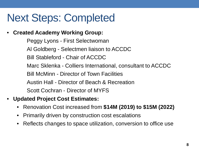### Next Steps: Completed

• **Created Academy Working Group:**

Peggy Lyons - First Selectwoman Al Goldberg - Selectmen liaison to ACCDC Bill Stableford - Chair of ACCDC Marc Sklenka - Colliers International, consultant to ACCDC Bill McMinn - Director of Town Facilities Austin Hall - Director of Beach & Recreation Scott Cochran - Director of MYFS

- **Updated Project Cost Estimates:** 
	- Renovation Cost increased from **\$14M (2019) to \$15M (2022)**
	- Primarily driven by construction cost escalations
	- Reflects changes to space utilization, conversion to office use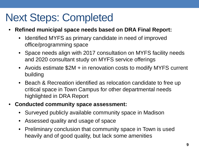### Next Steps: Completed

- **Refined municipal space needs based on DRA Final Report:**
	- Identified MYFS as primary candidate in need of improved office/programming space
	- Space needs align with 2017 consultation on MYFS facility needs and 2020 consultant study on MYFS service offerings
	- Avoids estimate \$2M + in renovation costs to modify MYFS current building
	- Beach & Recreation identified as relocation candidate to free up critical space in Town Campus for other departmental needs highlighted in DRA Report
- **Conducted community space assessment:**
	- Surveyed publicly available community space in Madison
	- Assessed quality and usage of space
	- Preliminary conclusion that community space in Town is used heavily and of good quality, but lack some amenities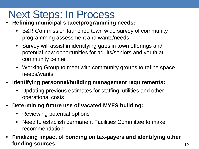## Next Steps: In Process

- **Refining municipal space/programming needs:**
	- B&R Commission launched town wide survey of community programming assessment and wants/needs
	- Survey will assist in identifying gaps in town offerings and potential new opportunities for adults/seniors and youth at community center
	- Working Group to meet with community groups to refine space needs/wants
- **Identifying personnel/building management requirements:**
	- Updating previous estimates for staffing, utilities and other operational costs
- **Determining future use of vacated MYFS building:**
	- Reviewing potential options
	- Need to establish permanent Facilities Committee to make recommendation
- **Finalizing impact of bonding on tax-payers and identifying other funding sources**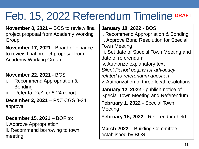## Feb. 15, 2022 Referendum Timeline DRAFT

**November 8, 2021** – BOS to review final project proposal from Academy Working Group

**November 17, 2021** - Board of Finance to review final project proposal from Academy Working Group

#### **November 22, 2021** - BOS

- i. Recommend Appropriation & **Bonding**
- ii. Refer to P&Z for 8-24 report

**December 2, 2021** – P&Z CGS 8-24 approval

**December 15, 2021 – BOF to:** i. Approve Appropriation ii. Recommend borrowing to town meeting

**January 10, 2022** - BOS i. Recommend Appropriation & Bonding ii. Approve Bond Resolution for Special Town Meeting iii. Set date of Special Town Meeting and date of referendum iv. Authorize explanatory text *Silent Period begins for advocacy related to referendum question* v. Authorization of three local resolutions **January 12, 2022** - publish notice of Special Town Meeting and Referendum **February 1, 2022** - Special Town Meeting

**February 15, 2022** - Referendum held

**March 2022** – Building Committee established by BOS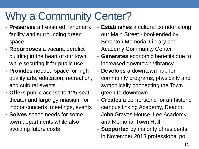# Why a Community Center?

- **Preserves** a treasured, landmark facility and surrounding green space
- **Repurposes** a vacant, derelict building in the heart of our town, while securing it for public use
- **Provides** needed space for high quality arts, education, recreation, and cultural events
- **Offers** public access to 125-seat theater and large gymnasium for indoor concerts, meetings, events
- **Solves** space needs for some town departments while also avoiding future costs
- **Establishes** a cultural corridor along our Main Street - bookended by Scranton Memorial Library and Academy Community Center
- **Generates** economic benefits due to increased downtown vibrancy
- **Develops** a downtown hub for community programs, physically and symbolically connecting the Town green to downtown
- **Creates** a cornerstone for an historic campus linking Academy, Deacon John Graves House, Lee Academy, and Memorial Town Hall
- **Supported** by majority of residents in November 2018 professional poll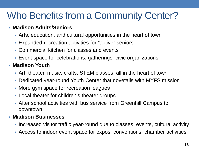#### Who Benefits from a Community Center?

#### • **Madison Adults/Seniors**

- Arts, education, and cultural opportunities in the heart of town
- Expanded recreation activities for "active" seniors
- Commercial kitchen for classes and events
- Event space for celebrations, gatherings, civic organizations

#### • **Madison Youth**

- Art, theater, music, crafts, STEM classes, all in the heart of town
- Dedicated year-round Youth Center that dovetails with MYFS mission
- More gym space for recreation leagues
- Local theater for children's theater groups
- After school activities with bus service from Greenhill Campus to downtown

#### • **Madison Businesses**

- Increased visitor traffic year-round due to classes, events, cultural activity
- Access to indoor event space for expos, conventions, chamber activities